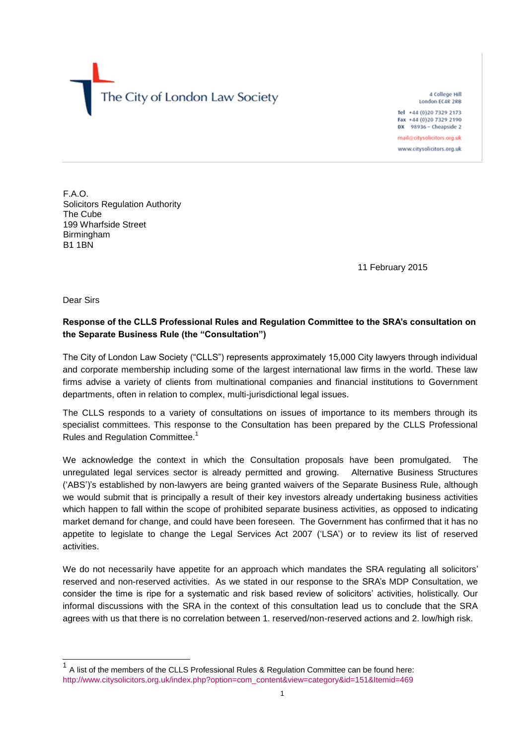The City of London Law Society

4 College Hill London EC4R 2RB Tel +44 (0)20 7329 2173 Fax +44 (0)20 7329 2190 DX 98936 - Cheapside 2 mail@citysolicitors.org.uk www.citysolicitors.org.uk

F.A.O. Solicitors Regulation Authority The Cube 199 Wharfside Street **Birmingham** B1 1BN

11 February 2015

Dear Sirs

## **Response of the CLLS Professional Rules and Regulation Committee to the SRA's consultation on the Separate Business Rule (the "Consultation")**

The City of London Law Society ("CLLS") represents approximately 15,000 City lawyers through individual and corporate membership including some of the largest international law firms in the world. These law firms advise a variety of clients from multinational companies and financial institutions to Government departments, often in relation to complex, multi-jurisdictional legal issues.

The CLLS responds to a variety of consultations on issues of importance to its members through its specialist committees. This response to the Consultation has been prepared by the CLLS Professional Rules and Regulation Committee.<sup>1</sup>

We acknowledge the context in which the Consultation proposals have been promulgated. The unregulated legal services sector is already permitted and growing. Alternative Business Structures ('ABS')'s established by non-lawyers are being granted waivers of the Separate Business Rule, although we would submit that is principally a result of their key investors already undertaking business activities which happen to fall within the scope of prohibited separate business activities, as opposed to indicating market demand for change, and could have been foreseen. The Government has confirmed that it has no appetite to legislate to change the Legal Services Act 2007 ('LSA') or to review its list of reserved activities.

We do not necessarily have appetite for an approach which mandates the SRA regulating all solicitors' reserved and non-reserved activities. As we stated in our response to the SRA's MDP Consultation, we consider the time is ripe for a systematic and risk based review of solicitors' activities, holistically. Our informal discussions with the SRA in the context of this consultation lead us to conclude that the SRA agrees with us that there is no correlation between 1. reserved/non-reserved actions and 2. low/high risk.

<sup>1&</sup>lt;br><sup>1</sup> A list of the members of the CLLS Professional Rules & Regulation Committee can be found here: [http://www.citysolicitors.org.uk/index.php?option=com\\_content&view=category&id=151&Itemid=469](http://www.citysolicitors.org.uk/index.php?option=com_content&view=category&id=151&Itemid=469)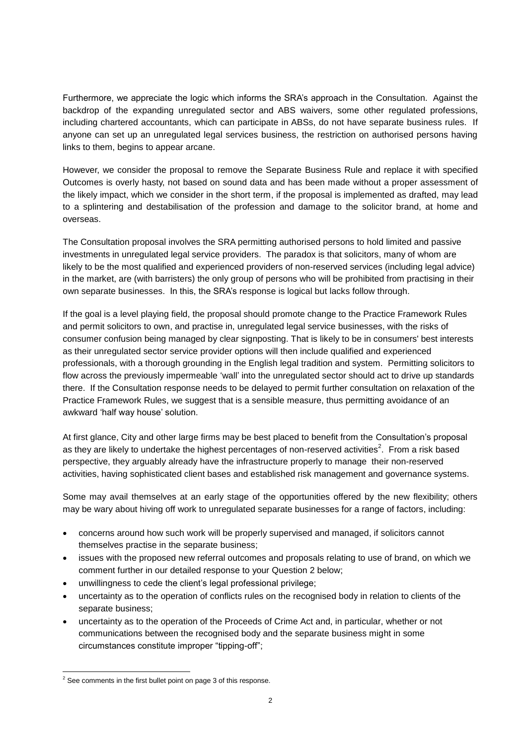Furthermore, we appreciate the logic which informs the SRA's approach in the Consultation. Against the backdrop of the expanding unregulated sector and ABS waivers, some other regulated professions, including chartered accountants, which can participate in ABSs, do not have separate business rules. If anyone can set up an unregulated legal services business, the restriction on authorised persons having links to them, begins to appear arcane.

However, we consider the proposal to remove the Separate Business Rule and replace it with specified Outcomes is overly hasty, not based on sound data and has been made without a proper assessment of the likely impact, which we consider in the short term, if the proposal is implemented as drafted, may lead to a splintering and destabilisation of the profession and damage to the solicitor brand, at home and overseas.

The Consultation proposal involves the SRA permitting authorised persons to hold limited and passive investments in unregulated legal service providers. The paradox is that solicitors, many of whom are likely to be the most qualified and experienced providers of non-reserved services (including legal advice) in the market, are (with barristers) the only group of persons who will be prohibited from practising in their own separate businesses. In this, the SRA's response is logical but lacks follow through.

If the goal is a level playing field, the proposal should promote change to the Practice Framework Rules and permit solicitors to own, and practise in, unregulated legal service businesses, with the risks of consumer confusion being managed by clear signposting. That is likely to be in consumers' best interests as their unregulated sector service provider options will then include qualified and experienced professionals, with a thorough grounding in the English legal tradition and system. Permitting solicitors to flow across the previously impermeable 'wall' into the unregulated sector should act to drive up standards there. If the Consultation response needs to be delayed to permit further consultation on relaxation of the Practice Framework Rules, we suggest that is a sensible measure, thus permitting avoidance of an awkward 'half way house' solution.

At first glance, City and other large firms may be best placed to benefit from the Consultation's proposal as they are likely to undertake the highest percentages of non-reserved activities<sup>2</sup>. From a risk based perspective, they arguably already have the infrastructure properly to manage their non-reserved activities, having sophisticated client bases and established risk management and governance systems.

Some may avail themselves at an early stage of the opportunities offered by the new flexibility; others may be wary about hiving off work to unregulated separate businesses for a range of factors, including:

- concerns around how such work will be properly supervised and managed, if solicitors cannot themselves practise in the separate business;
- issues with the proposed new referral outcomes and proposals relating to use of brand, on which we comment further in our detailed response to your Question 2 below;
- unwillingness to cede the client's legal professional privilege;
- uncertainty as to the operation of conflicts rules on the recognised body in relation to clients of the separate business;
- uncertainty as to the operation of the Proceeds of Crime Act and, in particular, whether or not communications between the recognised body and the separate business might in some circumstances constitute improper "tipping-off";

l  $2$  See comments in the first bullet point on page 3 of this response.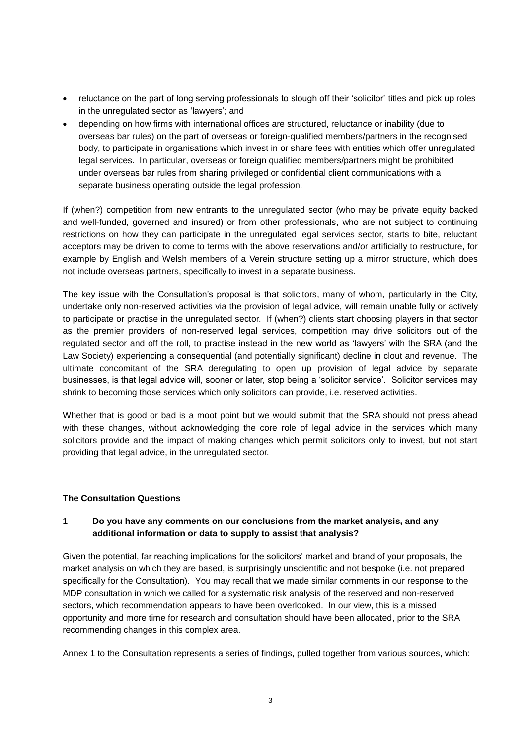- reluctance on the part of long serving professionals to slough off their 'solicitor' titles and pick up roles in the unregulated sector as 'lawyers'; and
- depending on how firms with international offices are structured, reluctance or inability (due to overseas bar rules) on the part of overseas or foreign-qualified members/partners in the recognised body, to participate in organisations which invest in or share fees with entities which offer unregulated legal services. In particular, overseas or foreign qualified members/partners might be prohibited under overseas bar rules from sharing privileged or confidential client communications with a separate business operating outside the legal profession.

If (when?) competition from new entrants to the unregulated sector (who may be private equity backed and well-funded, governed and insured) or from other professionals, who are not subject to continuing restrictions on how they can participate in the unregulated legal services sector, starts to bite, reluctant acceptors may be driven to come to terms with the above reservations and/or artificially to restructure, for example by English and Welsh members of a Verein structure setting up a mirror structure, which does not include overseas partners, specifically to invest in a separate business.

The key issue with the Consultation's proposal is that solicitors, many of whom, particularly in the City, undertake only non-reserved activities via the provision of legal advice, will remain unable fully or actively to participate or practise in the unregulated sector. If (when?) clients start choosing players in that sector as the premier providers of non-reserved legal services, competition may drive solicitors out of the regulated sector and off the roll, to practise instead in the new world as 'lawyers' with the SRA (and the Law Society) experiencing a consequential (and potentially significant) decline in clout and revenue. The ultimate concomitant of the SRA deregulating to open up provision of legal advice by separate businesses, is that legal advice will, sooner or later, stop being a 'solicitor service'. Solicitor services may shrink to becoming those services which only solicitors can provide, i.e. reserved activities.

Whether that is good or bad is a moot point but we would submit that the SRA should not press ahead with these changes, without acknowledging the core role of legal advice in the services which many solicitors provide and the impact of making changes which permit solicitors only to invest, but not start providing that legal advice, in the unregulated sector.

#### **The Consultation Questions**

### **1 Do you have any comments on our conclusions from the market analysis, and any additional information or data to supply to assist that analysis?**

Given the potential, far reaching implications for the solicitors' market and brand of your proposals, the market analysis on which they are based, is surprisingly unscientific and not bespoke (i.e. not prepared specifically for the Consultation). You may recall that we made similar comments in our response to the MDP consultation in which we called for a systematic risk analysis of the reserved and non-reserved sectors, which recommendation appears to have been overlooked. In our view, this is a missed opportunity and more time for research and consultation should have been allocated, prior to the SRA recommending changes in this complex area.

Annex 1 to the Consultation represents a series of findings, pulled together from various sources, which: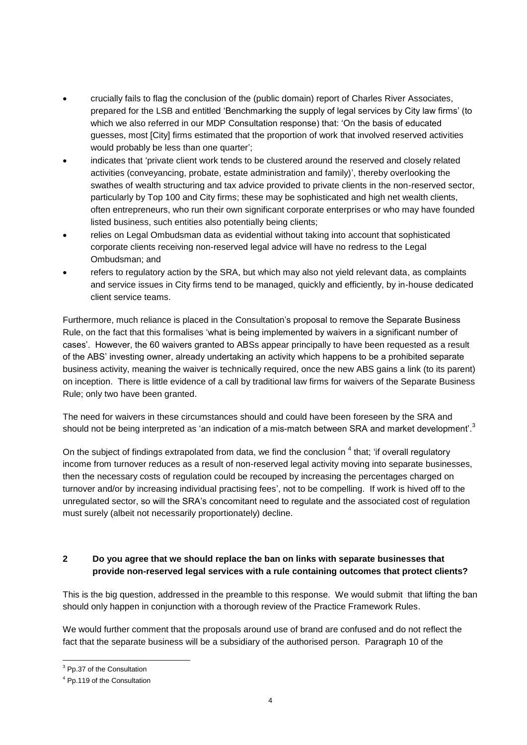- crucially fails to flag the conclusion of the (public domain) report of Charles River Associates, prepared for the LSB and entitled 'Benchmarking the supply of legal services by City law firms' (to which we also referred in our MDP Consultation response) that: 'On the basis of educated guesses, most [City] firms estimated that the proportion of work that involved reserved activities would probably be less than one quarter';
- indicates that 'private client work tends to be clustered around the reserved and closely related activities (conveyancing, probate, estate administration and family)', thereby overlooking the swathes of wealth structuring and tax advice provided to private clients in the non-reserved sector, particularly by Top 100 and City firms; these may be sophisticated and high net wealth clients, often entrepreneurs, who run their own significant corporate enterprises or who may have founded listed business, such entities also potentially being clients;
- relies on Legal Ombudsman data as evidential without taking into account that sophisticated corporate clients receiving non-reserved legal advice will have no redress to the Legal Ombudsman; and
- refers to regulatory action by the SRA, but which may also not yield relevant data, as complaints and service issues in City firms tend to be managed, quickly and efficiently, by in-house dedicated client service teams.

Furthermore, much reliance is placed in the Consultation's proposal to remove the Separate Business Rule, on the fact that this formalises 'what is being implemented by waivers in a significant number of cases'. However, the 60 waivers granted to ABSs appear principally to have been requested as a result of the ABS' investing owner, already undertaking an activity which happens to be a prohibited separate business activity, meaning the waiver is technically required, once the new ABS gains a link (to its parent) on inception. There is little evidence of a call by traditional law firms for waivers of the Separate Business Rule; only two have been granted.

The need for waivers in these circumstances should and could have been foreseen by the SRA and should not be being interpreted as 'an indication of a mis-match between SRA and market development'.<sup>3</sup>

On the subject of findings extrapolated from data, we find the conclusion  $<sup>4</sup>$  that; 'if overall regulatory</sup> income from turnover reduces as a result of non-reserved legal activity moving into separate businesses, then the necessary costs of regulation could be recouped by increasing the percentages charged on turnover and/or by increasing individual practising fees', not to be compelling. If work is hived off to the unregulated sector, so will the SRA's concomitant need to regulate and the associated cost of regulation must surely (albeit not necessarily proportionately) decline.

## **2 Do you agree that we should replace the ban on links with separate businesses that provide non-reserved legal services with a rule containing outcomes that protect clients?**

This is the big question, addressed in the preamble to this response. We would submit that lifting the ban should only happen in conjunction with a thorough review of the Practice Framework Rules.

We would further comment that the proposals around use of brand are confused and do not reflect the fact that the separate business will be a subsidiary of the authorised person. Paragraph 10 of the

l

<sup>&</sup>lt;sup>3</sup> Pp.37 of the Consultation

<sup>4</sup> Pp.119 of the Consultation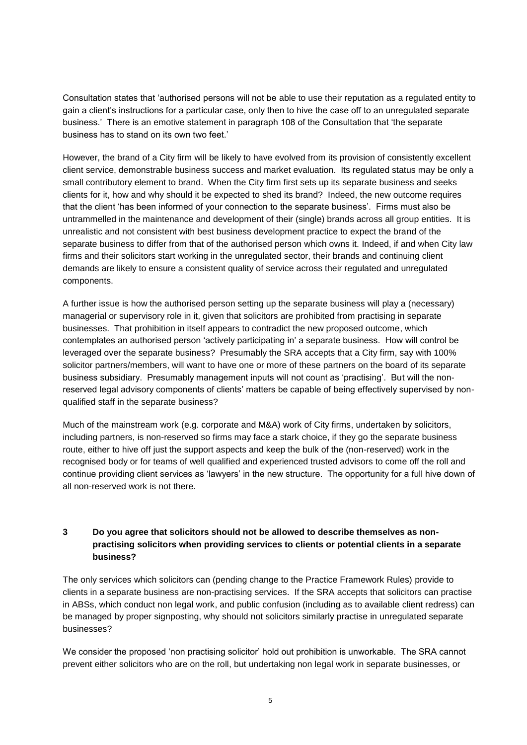Consultation states that 'authorised persons will not be able to use their reputation as a regulated entity to gain a client's instructions for a particular case, only then to hive the case off to an unregulated separate business.' There is an emotive statement in paragraph 108 of the Consultation that 'the separate business has to stand on its own two feet.'

However, the brand of a City firm will be likely to have evolved from its provision of consistently excellent client service, demonstrable business success and market evaluation. Its regulated status may be only a small contributory element to brand. When the City firm first sets up its separate business and seeks clients for it, how and why should it be expected to shed its brand? Indeed, the new outcome requires that the client 'has been informed of your connection to the separate business'. Firms must also be untrammelled in the maintenance and development of their (single) brands across all group entities. It is unrealistic and not consistent with best business development practice to expect the brand of the separate business to differ from that of the authorised person which owns it. Indeed, if and when City law firms and their solicitors start working in the unregulated sector, their brands and continuing client demands are likely to ensure a consistent quality of service across their regulated and unregulated components.

A further issue is how the authorised person setting up the separate business will play a (necessary) managerial or supervisory role in it, given that solicitors are prohibited from practising in separate businesses. That prohibition in itself appears to contradict the new proposed outcome, which contemplates an authorised person 'actively participating in' a separate business. How will control be leveraged over the separate business? Presumably the SRA accepts that a City firm, say with 100% solicitor partners/members, will want to have one or more of these partners on the board of its separate business subsidiary. Presumably management inputs will not count as 'practising'. But will the nonreserved legal advisory components of clients' matters be capable of being effectively supervised by nonqualified staff in the separate business?

Much of the mainstream work (e.g. corporate and M&A) work of City firms, undertaken by solicitors, including partners, is non-reserved so firms may face a stark choice, if they go the separate business route, either to hive off just the support aspects and keep the bulk of the (non-reserved) work in the recognised body or for teams of well qualified and experienced trusted advisors to come off the roll and continue providing client services as 'lawyers' in the new structure. The opportunity for a full hive down of all non-reserved work is not there.

### **3 Do you agree that solicitors should not be allowed to describe themselves as nonpractising solicitors when providing services to clients or potential clients in a separate business?**

The only services which solicitors can (pending change to the Practice Framework Rules) provide to clients in a separate business are non-practising services. If the SRA accepts that solicitors can practise in ABSs, which conduct non legal work, and public confusion (including as to available client redress) can be managed by proper signposting, why should not solicitors similarly practise in unregulated separate businesses?

We consider the proposed 'non practising solicitor' hold out prohibition is unworkable. The SRA cannot prevent either solicitors who are on the roll, but undertaking non legal work in separate businesses, or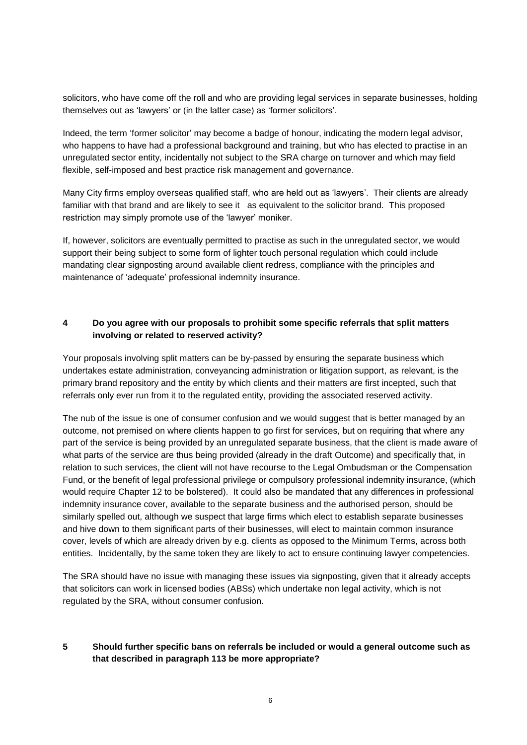solicitors, who have come off the roll and who are providing legal services in separate businesses, holding themselves out as 'lawyers' or (in the latter case) as 'former solicitors'.

Indeed, the term 'former solicitor' may become a badge of honour, indicating the modern legal advisor, who happens to have had a professional background and training, but who has elected to practise in an unregulated sector entity, incidentally not subject to the SRA charge on turnover and which may field flexible, self-imposed and best practice risk management and governance.

Many City firms employ overseas qualified staff, who are held out as 'lawyers'. Their clients are already familiar with that brand and are likely to see it as equivalent to the solicitor brand. This proposed restriction may simply promote use of the 'lawyer' moniker.

If, however, solicitors are eventually permitted to practise as such in the unregulated sector, we would support their being subject to some form of lighter touch personal regulation which could include mandating clear signposting around available client redress, compliance with the principles and maintenance of 'adequate' professional indemnity insurance.

### **4 Do you agree with our proposals to prohibit some specific referrals that split matters involving or related to reserved activity?**

Your proposals involving split matters can be by-passed by ensuring the separate business which undertakes estate administration, conveyancing administration or litigation support, as relevant, is the primary brand repository and the entity by which clients and their matters are first incepted, such that referrals only ever run from it to the regulated entity, providing the associated reserved activity.

The nub of the issue is one of consumer confusion and we would suggest that is better managed by an outcome, not premised on where clients happen to go first for services, but on requiring that where any part of the service is being provided by an unregulated separate business, that the client is made aware of what parts of the service are thus being provided (already in the draft Outcome) and specifically that, in relation to such services, the client will not have recourse to the Legal Ombudsman or the Compensation Fund, or the benefit of legal professional privilege or compulsory professional indemnity insurance, (which would require Chapter 12 to be bolstered). It could also be mandated that any differences in professional indemnity insurance cover, available to the separate business and the authorised person, should be similarly spelled out, although we suspect that large firms which elect to establish separate businesses and hive down to them significant parts of their businesses, will elect to maintain common insurance cover, levels of which are already driven by e.g. clients as opposed to the Minimum Terms, across both entities. Incidentally, by the same token they are likely to act to ensure continuing lawyer competencies.

The SRA should have no issue with managing these issues via signposting, given that it already accepts that solicitors can work in licensed bodies (ABSs) which undertake non legal activity, which is not regulated by the SRA, without consumer confusion.

### **5 Should further specific bans on referrals be included or would a general outcome such as that described in paragraph 113 be more appropriate?**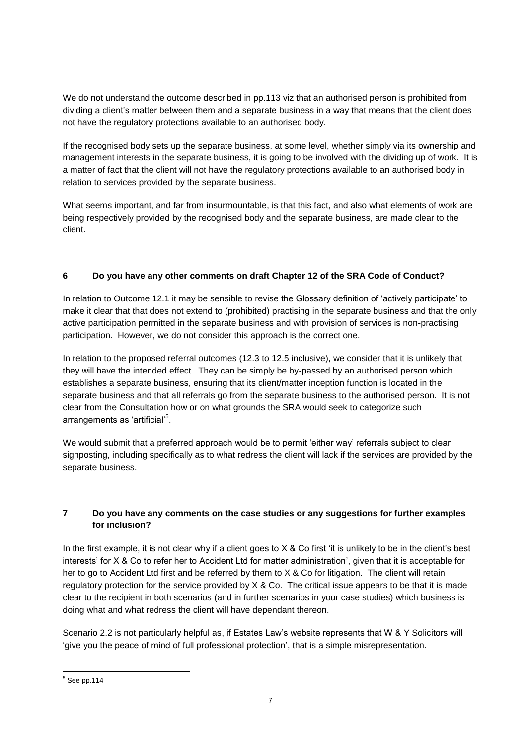We do not understand the outcome described in pp.113 viz that an authorised person is prohibited from dividing a client's matter between them and a separate business in a way that means that the client does not have the regulatory protections available to an authorised body.

If the recognised body sets up the separate business, at some level, whether simply via its ownership and management interests in the separate business, it is going to be involved with the dividing up of work. It is a matter of fact that the client will not have the regulatory protections available to an authorised body in relation to services provided by the separate business.

What seems important, and far from insurmountable, is that this fact, and also what elements of work are being respectively provided by the recognised body and the separate business, are made clear to the client.

# **6 Do you have any other comments on draft Chapter 12 of the SRA Code of Conduct?**

In relation to Outcome 12.1 it may be sensible to revise the Glossary definition of 'actively participate' to make it clear that that does not extend to (prohibited) practising in the separate business and that the only active participation permitted in the separate business and with provision of services is non-practising participation. However, we do not consider this approach is the correct one.

In relation to the proposed referral outcomes (12.3 to 12.5 inclusive), we consider that it is unlikely that they will have the intended effect. They can be simply be by-passed by an authorised person which establishes a separate business, ensuring that its client/matter inception function is located in the separate business and that all referrals go from the separate business to the authorised person. It is not clear from the Consultation how or on what grounds the SRA would seek to categorize such arrangements as 'artificial'<sup>5</sup>.

We would submit that a preferred approach would be to permit 'either way' referrals subject to clear signposting, including specifically as to what redress the client will lack if the services are provided by the separate business.

## **7 Do you have any comments on the case studies or any suggestions for further examples for inclusion?**

In the first example, it is not clear why if a client goes to  $X \&$  Co first 'it is unlikely to be in the client's best interests' for X & Co to refer her to Accident Ltd for matter administration', given that it is acceptable for her to go to Accident Ltd first and be referred by them to X & Co for litigation. The client will retain regulatory protection for the service provided by  $X \& Co$ . The critical issue appears to be that it is made clear to the recipient in both scenarios (and in further scenarios in your case studies) which business is doing what and what redress the client will have dependant thereon.

Scenario 2.2 is not particularly helpful as, if Estates Law's website represents that W & Y Solicitors will 'give you the peace of mind of full professional protection', that is a simple misrepresentation.

l

 $5$  See pp.114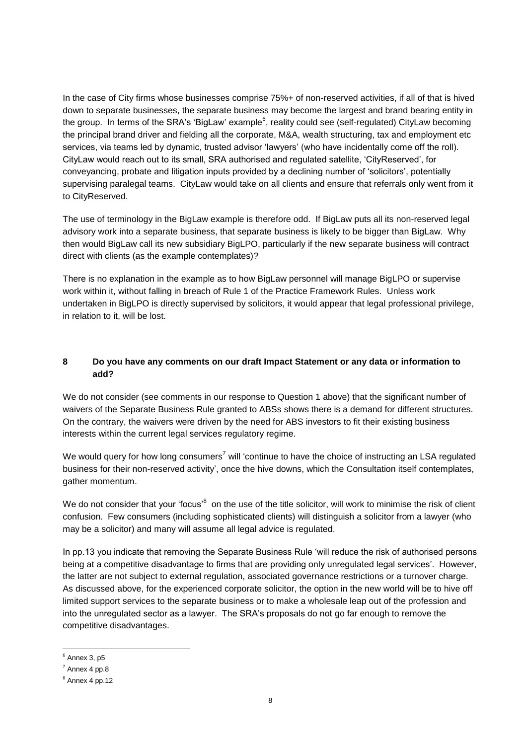In the case of City firms whose businesses comprise 75%+ of non-reserved activities, if all of that is hived down to separate businesses, the separate business may become the largest and brand bearing entity in the group. In terms of the SRA's 'BigLaw' example<sup>6</sup>, reality could see (self-regulated) CityLaw becoming the principal brand driver and fielding all the corporate, M&A, wealth structuring, tax and employment etc services, via teams led by dynamic, trusted advisor 'lawyers' (who have incidentally come off the roll). CityLaw would reach out to its small, SRA authorised and regulated satellite, 'CityReserved', for conveyancing, probate and litigation inputs provided by a declining number of 'solicitors', potentially supervising paralegal teams. CityLaw would take on all clients and ensure that referrals only went from it to CityReserved.

The use of terminology in the BigLaw example is therefore odd. If BigLaw puts all its non-reserved legal advisory work into a separate business, that separate business is likely to be bigger than BigLaw. Why then would BigLaw call its new subsidiary BigLPO, particularly if the new separate business will contract direct with clients (as the example contemplates)?

There is no explanation in the example as to how BigLaw personnel will manage BigLPO or supervise work within it, without falling in breach of Rule 1 of the Practice Framework Rules. Unless work undertaken in BigLPO is directly supervised by solicitors, it would appear that legal professional privilege, in relation to it, will be lost.

### **8 Do you have any comments on our draft Impact Statement or any data or information to add?**

We do not consider (see comments in our response to Question 1 above) that the significant number of waivers of the Separate Business Rule granted to ABSs shows there is a demand for different structures. On the contrary, the waivers were driven by the need for ABS investors to fit their existing business interests within the current legal services regulatory regime.

We would query for how long consumers<sup>7</sup> will 'continue to have the choice of instructing an LSA regulated business for their non-reserved activity', once the hive downs, which the Consultation itself contemplates, gather momentum.

We do not consider that your 'focus'<sup>8</sup> on the use of the title solicitor, will work to minimise the risk of client confusion. Few consumers (including sophisticated clients) will distinguish a solicitor from a lawyer (who may be a solicitor) and many will assume all legal advice is regulated.

In pp.13 you indicate that removing the Separate Business Rule 'will reduce the risk of authorised persons being at a competitive disadvantage to firms that are providing only unregulated legal services'. However, the latter are not subject to external regulation, associated governance restrictions or a turnover charge. As discussed above, for the experienced corporate solicitor, the option in the new world will be to hive off limited support services to the separate business or to make a wholesale leap out of the profession and into the unregulated sector as a lawyer. The SRA's proposals do not go far enough to remove the competitive disadvantages.

l

 $^6$  Annex 3, p5

 $<sup>7</sup>$  Annex 4 pp.8</sup>

 $8$  Annex 4 pp.12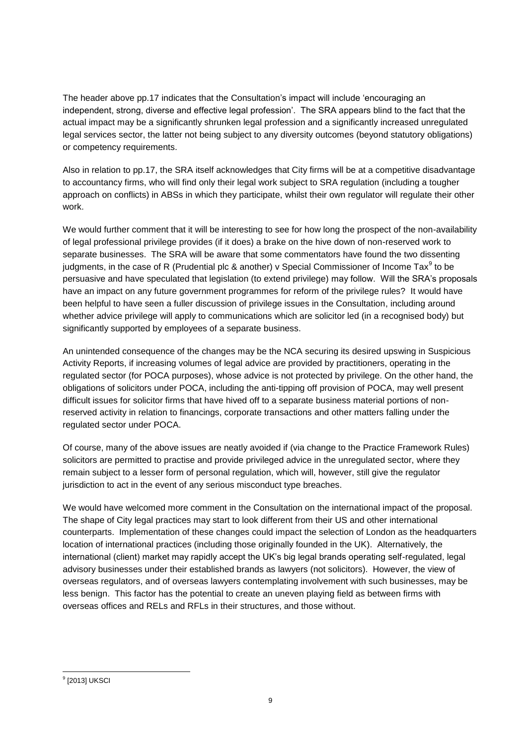The header above pp.17 indicates that the Consultation's impact will include 'encouraging an independent, strong, diverse and effective legal profession'. The SRA appears blind to the fact that the actual impact may be a significantly shrunken legal profession and a significantly increased unregulated legal services sector, the latter not being subject to any diversity outcomes (beyond statutory obligations) or competency requirements.

Also in relation to pp.17, the SRA itself acknowledges that City firms will be at a competitive disadvantage to accountancy firms, who will find only their legal work subject to SRA regulation (including a tougher approach on conflicts) in ABSs in which they participate, whilst their own regulator will regulate their other work.

We would further comment that it will be interesting to see for how long the prospect of the non-availability of legal professional privilege provides (if it does) a brake on the hive down of non-reserved work to separate businesses. The SRA will be aware that some commentators have found the two dissenting judgments, in the case of R (Prudential plc & another) v Special Commissioner of Income Tax $^9$  to be persuasive and have speculated that legislation (to extend privilege) may follow. Will the SRA's proposals have an impact on any future government programmes for reform of the privilege rules? It would have been helpful to have seen a fuller discussion of privilege issues in the Consultation, including around whether advice privilege will apply to communications which are solicitor led (in a recognised body) but significantly supported by employees of a separate business.

An unintended consequence of the changes may be the NCA securing its desired upswing in Suspicious Activity Reports, if increasing volumes of legal advice are provided by practitioners, operating in the regulated sector (for POCA purposes), whose advice is not protected by privilege. On the other hand, the obligations of solicitors under POCA, including the anti-tipping off provision of POCA, may well present difficult issues for solicitor firms that have hived off to a separate business material portions of nonreserved activity in relation to financings, corporate transactions and other matters falling under the regulated sector under POCA.

Of course, many of the above issues are neatly avoided if (via change to the Practice Framework Rules) solicitors are permitted to practise and provide privileged advice in the unregulated sector, where they remain subject to a lesser form of personal regulation, which will, however, still give the regulator jurisdiction to act in the event of any serious misconduct type breaches.

We would have welcomed more comment in the Consultation on the international impact of the proposal. The shape of City legal practices may start to look different from their US and other international counterparts. Implementation of these changes could impact the selection of London as the headquarters location of international practices (including those originally founded in the UK). Alternatively, the international (client) market may rapidly accept the UK's big legal brands operating self-regulated, legal advisory businesses under their established brands as lawyers (not solicitors). However, the view of overseas regulators, and of overseas lawyers contemplating involvement with such businesses, may be less benign. This factor has the potential to create an uneven playing field as between firms with overseas offices and RELs and RFLs in their structures, and those without.

l 9 [2013] UKSCI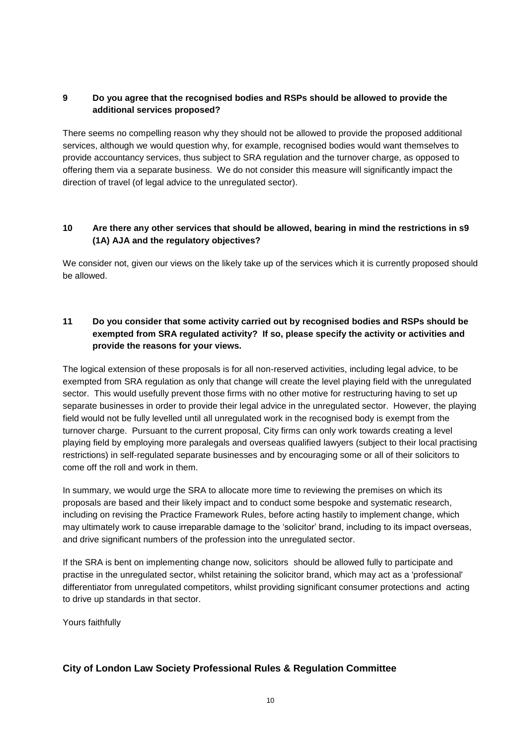## **9 Do you agree that the recognised bodies and RSPs should be allowed to provide the additional services proposed?**

There seems no compelling reason why they should not be allowed to provide the proposed additional services, although we would question why, for example, recognised bodies would want themselves to provide accountancy services, thus subject to SRA regulation and the turnover charge, as opposed to offering them via a separate business. We do not consider this measure will significantly impact the direction of travel (of legal advice to the unregulated sector).

## **10 Are there any other services that should be allowed, bearing in mind the restrictions in s9 (1A) AJA and the regulatory objectives?**

We consider not, given our views on the likely take up of the services which it is currently proposed should be allowed.

## **11 Do you consider that some activity carried out by recognised bodies and RSPs should be exempted from SRA regulated activity? If so, please specify the activity or activities and provide the reasons for your views.**

The logical extension of these proposals is for all non-reserved activities, including legal advice, to be exempted from SRA regulation as only that change will create the level playing field with the unregulated sector. This would usefully prevent those firms with no other motive for restructuring having to set up separate businesses in order to provide their legal advice in the unregulated sector. However, the playing field would not be fully levelled until all unregulated work in the recognised body is exempt from the turnover charge. Pursuant to the current proposal, City firms can only work towards creating a level playing field by employing more paralegals and overseas qualified lawyers (subject to their local practising restrictions) in self-regulated separate businesses and by encouraging some or all of their solicitors to come off the roll and work in them.

In summary, we would urge the SRA to allocate more time to reviewing the premises on which its proposals are based and their likely impact and to conduct some bespoke and systematic research, including on revising the Practice Framework Rules, before acting hastily to implement change, which may ultimately work to cause irreparable damage to the 'solicitor' brand, including to its impact overseas, and drive significant numbers of the profession into the unregulated sector.

If the SRA is bent on implementing change now, solicitors should be allowed fully to participate and practise in the unregulated sector, whilst retaining the solicitor brand, which may act as a 'professional' differentiator from unregulated competitors, whilst providing significant consumer protections and acting to drive up standards in that sector.

Yours faithfully

# **City of London Law Society Professional Rules & Regulation Committee**